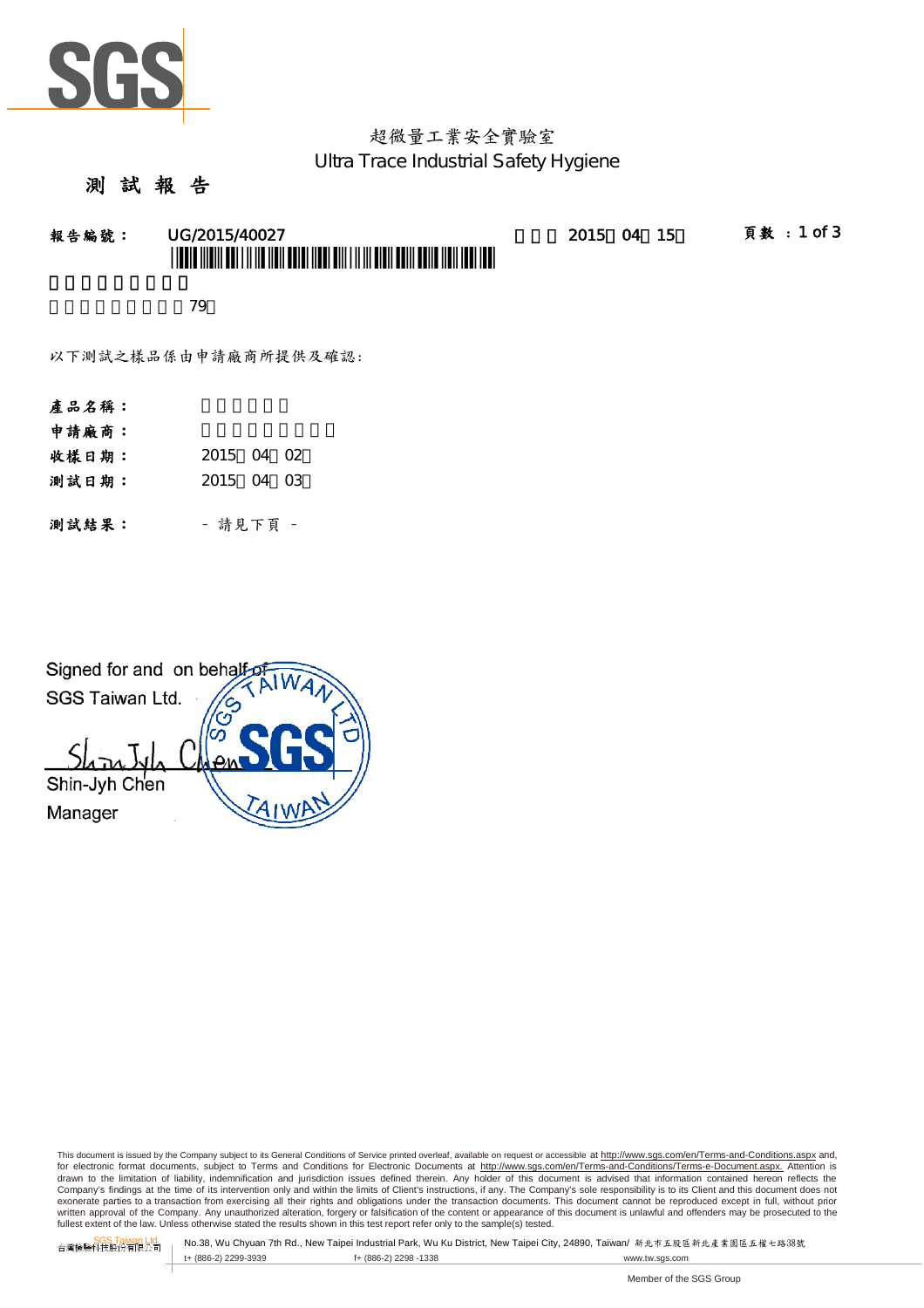

## 超微量工業安全實驗室 Ultra Trace Industrial Safety Hygiene

#### 測 試 報

報告編號: UG/2015/40027 2015 2015 04 15 頁數:1 of 3 \* UGO O TIQUI DE LI INTERNATIONE DELL'INTERNATIONALE DI DISPONE DELL'INTERNATIONALE DELL'INTERNATIONALE DELL'I

新北市三峽區民權街79

以下測試之樣品係由申請廠商所提供及確認:

- 產品名稱:
- 申請廠商:
- 收樣日期: 2015 04 02
- 測試日期: 2015 04 03

測試結果: - 請見下頁 -



This document is issued by the Company subject to its General Conditions of Service printed overleaf, available on request or accessible at http://www.sgs.com/en/Terms-and-Conditions.aspx and, for electronic format documents, subject to Terms and Conditions for Electronic Documents at <u>http://www.sgs.com/en/Terms-and-Conditions/Terms-e-Document.aspx.</u> Attention is<br>drawn to the limitation of liability, indemnific Company's findings at the time of its intervention only and within the limits of Client's instructions, if any. The Company's sole responsibility is to its Client and this document does not<br>exonerate parties to a transacti written approval of the Company. Any unauthorized alteration, forgery or falsification of the content or appearance of this document is unlawful and offenders may be prosecuted to the fullest extent of the law. Unless otherwise stated the results shown in this test report refer only to the sample(s) tested.

SGS Taiwan Ltd. 台灣檢驗科技股份有限公司 No.38, Wu Chyuan 7th Rd., New Taipei Industrial Park, Wu Ku District, New Taipei City, 24890, Taiwan/ 新北市五股區新北產業園區五權七路38號 f+ (886-2) 2298 -1338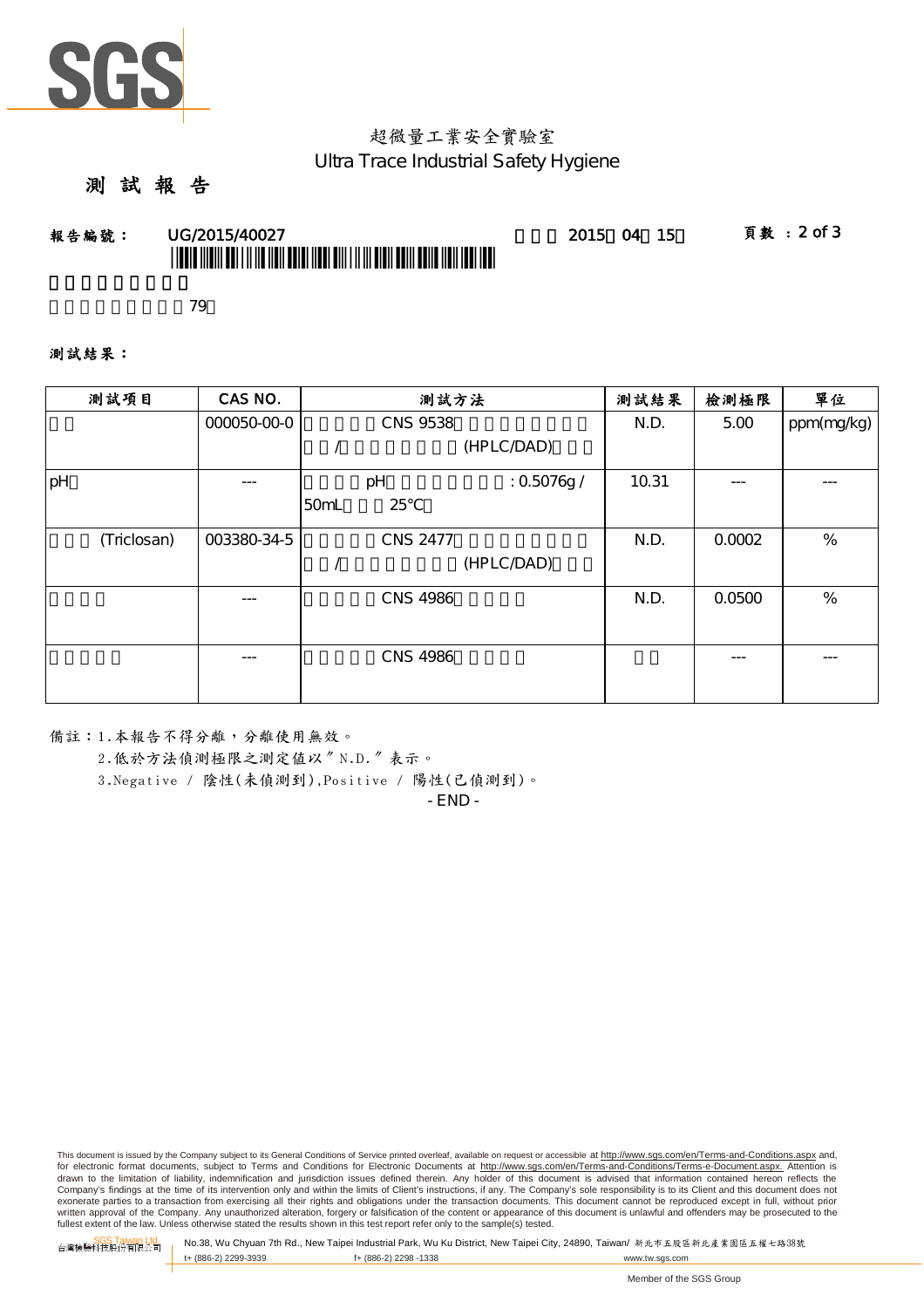

# 超微量工業安全實驗室 Ultra Trace Industrial Safety Hygiene

### 測 試 報 告

# **報告編號: UG/2015/40027 - 2015 04 15 頁數:2 of 3** \* LOUIS (1981) OUT FILIO DU LOUIS (1981-811) ET LI BIO DU LOUIS DU LOUIS (1981-1981

新北市三峽區民權街79

測試結果:

| 測試項目        | CAS NO.     | 測試方法 |                 |             | 測試結果  | 檢測極限   | 單位         |
|-------------|-------------|------|-----------------|-------------|-------|--------|------------|
|             | 000050-00-0 |      | <b>CNS 9538</b> |             | N.D.  | 5.00   | ppm(mg/kg) |
|             |             |      |                 | (HPLC/DAD)  |       |        |            |
| pH          | ---         |      | pH              | : 0.5076g / | 10.31 |        | ---        |
|             |             | 50mL | 25              |             |       |        |            |
| (Triclosan) | 003380-34-5 |      | <b>CNS 2477</b> |             | N.D.  | 0.0002 | %          |
|             |             |      |                 | (HPLC/DAD)  |       |        |            |
|             | ---         |      | <b>CNS 4986</b> |             | N.D.  | 0.0500 | %          |
|             |             |      |                 |             |       |        |            |
|             | ---         |      | <b>CNS 4986</b> |             |       |        |            |

備註:1.本報告不得分離,分離使用無效。

2.低於方法偵測極限之測定值以〞N.D.〞表示。

3.Negative / 陰性(未偵測到),Positive / 陽性(已偵測到)。

- END -

This document is issued by the Company subject to its General Conditions of Service printed overleaf, available on request or accessible at http://www.sgs.com/en/Terms-and-Conditions.aspx and, for electronic format documents, subject to Terms and Conditions for Electronic Documents at <u>http://www.sgs.com/en/Terms-and-Conditions/Terms-e-Document.aspx.</u> Attention is<br>drawn to the limitation of liability, indemnific Company's findings at the time of its intervention only and within the limits of Client's instructions, if any. The Company's sole responsibility is to its Client and this document does not<br>exonerate parties to a transacti written approval of the Company. Any unauthorized alteration, forgery or falsification of the content or appearance of this document is unlawful and offenders may be prosecuted to the fullest extent of the law. Unless otherwise stated the results shown in this test report refer only to the sample(s) tested.

SGS Taiwan Ltd. 台灣檢驗科技股份有限公司 No.38, Wu Chyuan 7th Rd., New Taipei Industrial Park, Wu Ku District, New Taipei City, 24890, Taiwan/ 新北市五股區新北產業園區五權七路38號